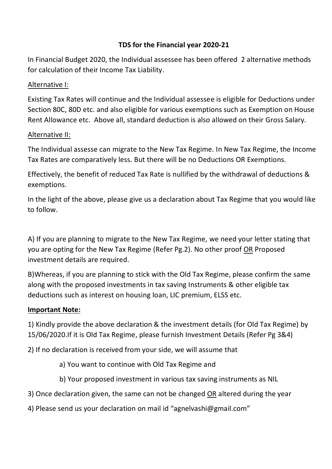# **TDS for the Financial year 2020-21**

In Financial Budget 2020, the Individual assessee has been offered 2 alternative methods for calculation of their Income Tax Liability.

# Alternative I:

Existing Tax Rates will continue and the Individual assessee is eligible for Deductions under Section 80C, 80D etc. and also eligible for various exemptions such as Exemption on House Rent Allowance etc. Above all, standard deduction is also allowed on their Gross Salary.

# Alternative II:

The Individual assesse can migrate to the New Tax Regime. In New Tax Regime, the Income Tax Rates are comparatively less. But there will be no Deductions OR Exemptions.

Effectively, the benefit of reduced Tax Rate is nullified by the withdrawal of deductions & exemptions.

In the light of the above, please give us a declaration about Tax Regime that you would like to follow.

A) If you are planning to migrate to the New Tax Regime, we need your letter stating that you are opting for the New Tax Regime (Refer Pg.2). No other proof OR Proposed investment details are required.

B)Whereas, if you are planning to stick with the Old Tax Regime, please confirm the same along with the proposed investments in tax saving Instruments & other eligible tax deductions such as interest on housing loan, LIC premium, ELSS etc.

# **Important Note:**

1) Kindly provide the above declaration & the investment details (for Old Tax Regime) by 15/06/2020.If it is Old Tax Regime, please furnish Investment Details (Refer Pg 3&4)

2) If no declaration is received from your side, we will assume that

a) You want to continue with Old Tax Regime and

- b) Your proposed investment in various tax saving instruments as NIL
- 3) Once declaration given, the same can not be changed OR altered during the year
- 4) Please send us your declaration on mail id "agnelvashi@gmail.com"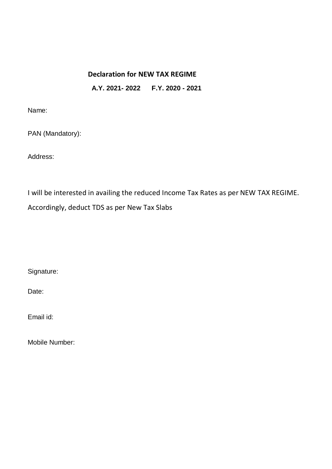# **Declaration for NEW TAX REGIME A.Y. 2021- 2022 F.Y. 2020 - 2021**

Name:

PAN (Mandatory):

Address:

I will be interested in availing the reduced Income Tax Rates as per NEW TAX REGIME. Accordingly, deduct TDS as per New Tax Slabs

Signature:

Date:

Email id:

Mobile Number: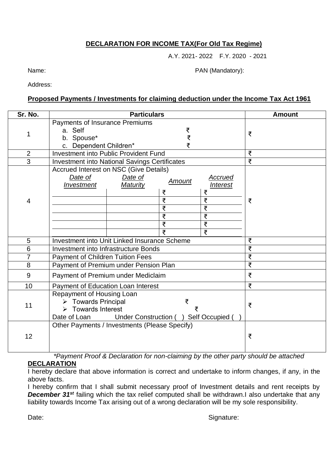## **DECLARATION FOR INCOME TAX(For Old Tax Regime)**

A.Y. 2021- 2022 F.Y. 2020 - 2021

Name: Name: PAN (Mandatory):

Address:

#### **Proposed Payments / Investments for claiming deduction under the Income Tax Act 1961**

| Sr. No.        | <b>Particulars</b>                                                                                                                                           |               |                                                                 | <b>Amount</b> |  |
|----------------|--------------------------------------------------------------------------------------------------------------------------------------------------------------|---------------|-----------------------------------------------------------------|---------------|--|
| 1              | Payments of Insurance Premiums<br>a. Self<br>b. Spouse*<br>c. Dependent Children*                                                                            | ₹<br>₹<br>₹   |                                                                 | ₹             |  |
| $\overline{2}$ | <b>Investment into Public Provident Fund</b>                                                                                                                 |               |                                                                 | ₹             |  |
| $\overline{3}$ | <b>Investment into National Savings Certificates</b>                                                                                                         |               |                                                                 | ₹             |  |
| $\overline{4}$ | Accrued Interest on NSC (Give Details)<br>Date of<br>Date of<br>Investment<br>Maturity<br>₹<br>₹<br>₹<br>₹<br>₹<br>₹                                         | <b>Amount</b> | Accrued<br><i><b>Interest</b></i><br>₹<br>₹<br>₹<br>₹<br>₹<br>₹ | ₹             |  |
| 5              | <b>Investment into Unit Linked Insurance Scheme</b>                                                                                                          |               |                                                                 | ₹             |  |
| 6              | <b>Investment into Infrastructure Bonds</b>                                                                                                                  |               |                                                                 | ₹             |  |
| $\overline{7}$ | <b>Payment of Children Tuition Fees</b>                                                                                                                      |               |                                                                 | ₹             |  |
| 8              | Payment of Premium under Pension Plan                                                                                                                        | ₹             |                                                                 |               |  |
| 9              | Payment of Premium under Mediclaim                                                                                                                           | ₹             |                                                                 |               |  |
| 10             | Payment of Education Loan Interest                                                                                                                           | ₹             |                                                                 |               |  |
| 11             | Repayment of Housing Loan<br>$\triangleright$ Towards Principal<br>$\triangleright$ Towards Interest<br>Under Construction ( ) Self Occupied<br>Date of Loan | ₹             |                                                                 |               |  |
| 12             | Other Payments / Investments (Please Specify)                                                                                                                |               |                                                                 | ₹             |  |

*\*Payment Proof & Declaration for non-claiming by the other party should be attached*

**DECLARATION**

I hereby declare that above information is correct and undertake to inform changes, if any, in the above facts.

I hereby confirm that I shall submit necessary proof of Investment details and rent receipts by **December 31<sup>st</sup>** failing which the tax relief computed shall be withdrawn.I also undertake that any liability towards Income Tax arising out of a wrong declaration will be my sole responsibility.